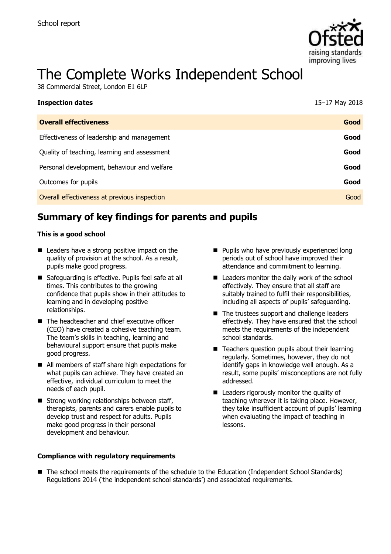

# The Complete Works Independent School

38 Commercial Street, London E1 6LP

| <b>Inspection dates</b>                      | 15-17 May 2018 |
|----------------------------------------------|----------------|
| <b>Overall effectiveness</b>                 | Good           |
| Effectiveness of leadership and management   | Good           |
| Quality of teaching, learning and assessment | Good           |
| Personal development, behaviour and welfare  | Good           |
| Outcomes for pupils                          | Good           |
| Overall effectiveness at previous inspection | Good           |

# **Summary of key findings for parents and pupils**

#### **This is a good school**

- Leaders have a strong positive impact on the quality of provision at the school. As a result, pupils make good progress.
- Safeguarding is effective. Pupils feel safe at all times. This contributes to the growing confidence that pupils show in their attitudes to learning and in developing positive relationships.
- The headteacher and chief executive officer (CEO) have created a cohesive teaching team. The team's skills in teaching, learning and behavioural support ensure that pupils make good progress.
- All members of staff share high expectations for what pupils can achieve. They have created an effective, individual curriculum to meet the needs of each pupil.
- $\blacksquare$  Strong working relationships between staff, therapists, parents and carers enable pupils to develop trust and respect for adults. Pupils make good progress in their personal development and behaviour.

#### **Compliance with regulatory requirements**

- **Pupils who have previously experienced long** periods out of school have improved their attendance and commitment to learning.
- Leaders monitor the daily work of the school effectively. They ensure that all staff are suitably trained to fulfil their responsibilities, including all aspects of pupils' safeguarding.
- The trustees support and challenge leaders effectively. They have ensured that the school meets the requirements of the independent school standards.
- Teachers question pupils about their learning regularly. Sometimes, however, they do not identify gaps in knowledge well enough. As a result, some pupils' misconceptions are not fully addressed.
- **Leaders rigorously monitor the quality of** teaching wherever it is taking place. However, they take insufficient account of pupils' learning when evaluating the impact of teaching in lessons.
- The school meets the requirements of the schedule to the Education (Independent School Standards) Regulations 2014 ('the independent school standards') and associated requirements.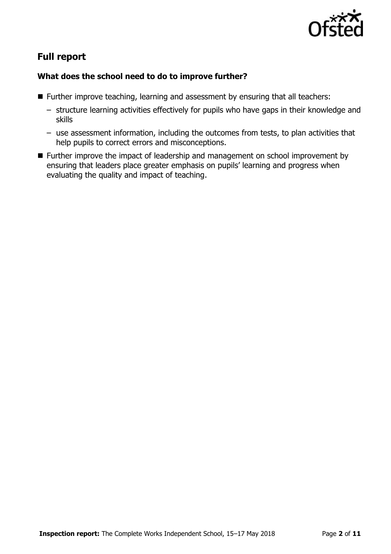

# **Full report**

## **What does the school need to do to improve further?**

- Further improve teaching, learning and assessment by ensuring that all teachers:
	- structure learning activities effectively for pupils who have gaps in their knowledge and skills
	- use assessment information, including the outcomes from tests, to plan activities that help pupils to correct errors and misconceptions.
- Further improve the impact of leadership and management on school improvement by ensuring that leaders place greater emphasis on pupils' learning and progress when evaluating the quality and impact of teaching.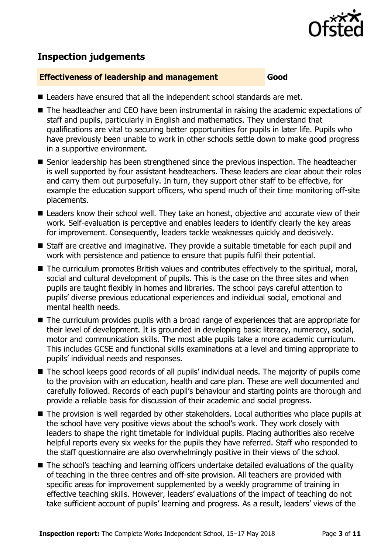

## **Inspection judgements**

#### **Effectiveness of leadership and management Good**

- Leaders have ensured that all the independent school standards are met.
- The headteacher and CEO have been instrumental in raising the academic expectations of staff and pupils, particularly in English and mathematics. They understand that qualifications are vital to securing better opportunities for pupils in later life. Pupils who have previously been unable to work in other schools settle down to make good progress in a supportive environment.
- Senior leadership has been strengthened since the previous inspection. The headteacher is well supported by four assistant headteachers. These leaders are clear about their roles and carry them out purposefully. In turn, they support other staff to be effective, for example the education support officers, who spend much of their time monitoring off-site placements.
- Leaders know their school well. They take an honest, objective and accurate view of their work. Self-evaluation is perceptive and enables leaders to identify clearly the key areas for improvement. Consequently, leaders tackle weaknesses quickly and decisively.
- Staff are creative and imaginative. They provide a suitable timetable for each pupil and work with persistence and patience to ensure that pupils fulfil their potential.
- The curriculum promotes British values and contributes effectively to the spiritual, moral, social and cultural development of pupils. This is the case on the three sites and when pupils are taught flexibly in homes and libraries. The school pays careful attention to pupils' diverse previous educational experiences and individual social, emotional and mental health needs.
- The curriculum provides pupils with a broad range of experiences that are appropriate for their level of development. It is grounded in developing basic literacy, numeracy, social, motor and communication skills. The most able pupils take a more academic curriculum. This includes GCSE and functional skills examinations at a level and timing appropriate to pupils' individual needs and responses.
- The school keeps good records of all pupils' individual needs. The majority of pupils come to the provision with an education, health and care plan. These are well documented and carefully followed. Records of each pupil's behaviour and starting points are thorough and provide a reliable basis for discussion of their academic and social progress.
- The provision is well regarded by other stakeholders. Local authorities who place pupils at the school have very positive views about the school's work. They work closely with leaders to shape the right timetable for individual pupils. Placing authorities also receive helpful reports every six weeks for the pupils they have referred. Staff who responded to the staff questionnaire are also overwhelmingly positive in their views of the school.
- The school's teaching and learning officers undertake detailed evaluations of the quality of teaching in the three centres and off-site provision. All teachers are provided with specific areas for improvement supplemented by a weekly programme of training in effective teaching skills. However, leaders' evaluations of the impact of teaching do not take sufficient account of pupils' learning and progress. As a result, leaders' views of the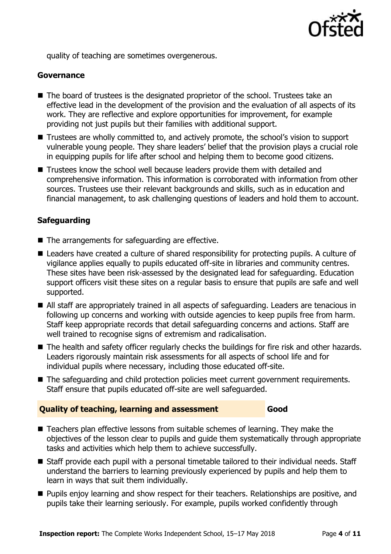

quality of teaching are sometimes overgenerous.

#### **Governance**

- The board of trustees is the designated proprietor of the school. Trustees take an effective lead in the development of the provision and the evaluation of all aspects of its work. They are reflective and explore opportunities for improvement, for example providing not just pupils but their families with additional support.
- Trustees are wholly committed to, and actively promote, the school's vision to support vulnerable young people. They share leaders' belief that the provision plays a crucial role in equipping pupils for life after school and helping them to become good citizens.
- Trustees know the school well because leaders provide them with detailed and comprehensive information. This information is corroborated with information from other sources. Trustees use their relevant backgrounds and skills, such as in education and financial management, to ask challenging questions of leaders and hold them to account.

## **Safeguarding**

- The arrangements for safeguarding are effective.
- Leaders have created a culture of shared responsibility for protecting pupils. A culture of vigilance applies equally to pupils educated off-site in libraries and community centres. These sites have been risk-assessed by the designated lead for safeguarding. Education support officers visit these sites on a regular basis to ensure that pupils are safe and well supported.
- All staff are appropriately trained in all aspects of safeguarding. Leaders are tenacious in following up concerns and working with outside agencies to keep pupils free from harm. Staff keep appropriate records that detail safeguarding concerns and actions. Staff are well trained to recognise signs of extremism and radicalisation.
- The health and safety officer regularly checks the buildings for fire risk and other hazards. Leaders rigorously maintain risk assessments for all aspects of school life and for individual pupils where necessary, including those educated off-site.
- The safeguarding and child protection policies meet current government requirements. Staff ensure that pupils educated off-site are well safeguarded.

#### **Quality of teaching, learning and assessment Good**

- Teachers plan effective lessons from suitable schemes of learning. They make the objectives of the lesson clear to pupils and guide them systematically through appropriate tasks and activities which help them to achieve successfully.
- Staff provide each pupil with a personal timetable tailored to their individual needs. Staff understand the barriers to learning previously experienced by pupils and help them to learn in ways that suit them individually.
- **Pupils enjoy learning and show respect for their teachers. Relationships are positive, and** pupils take their learning seriously. For example, pupils worked confidently through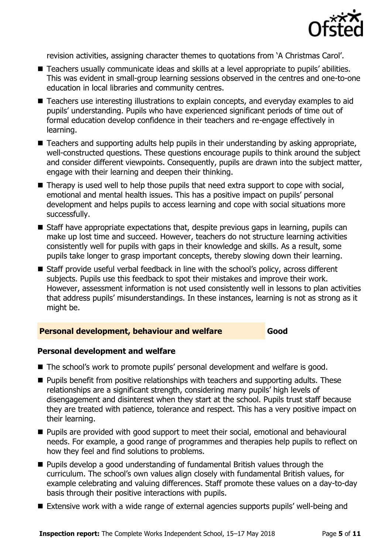

revision activities, assigning character themes to quotations from 'A Christmas Carol'.

- Teachers usually communicate ideas and skills at a level appropriate to pupils' abilities. This was evident in small-group learning sessions observed in the centres and one-to-one education in local libraries and community centres.
- Teachers use interesting illustrations to explain concepts, and everyday examples to aid pupils' understanding. Pupils who have experienced significant periods of time out of formal education develop confidence in their teachers and re-engage effectively in learning.
- Teachers and supporting adults help pupils in their understanding by asking appropriate, well-constructed questions. These questions encourage pupils to think around the subject and consider different viewpoints. Consequently, pupils are drawn into the subject matter, engage with their learning and deepen their thinking.
- Therapy is used well to help those pupils that need extra support to cope with social, emotional and mental health issues. This has a positive impact on pupils' personal development and helps pupils to access learning and cope with social situations more successfully.
- $\blacksquare$  Staff have appropriate expectations that, despite previous gaps in learning, pupils can make up lost time and succeed. However, teachers do not structure learning activities consistently well for pupils with gaps in their knowledge and skills. As a result, some pupils take longer to grasp important concepts, thereby slowing down their learning.
- Staff provide useful verbal feedback in line with the school's policy, across different subjects. Pupils use this feedback to spot their mistakes and improve their work. However, assessment information is not used consistently well in lessons to plan activities that address pupils' misunderstandings. In these instances, learning is not as strong as it might be.

#### **Personal development, behaviour and welfare Good**

#### **Personal development and welfare**

- The school's work to promote pupils' personal development and welfare is good.
- **Pupils benefit from positive relationships with teachers and supporting adults. These** relationships are a significant strength, considering many pupils' high levels of disengagement and disinterest when they start at the school. Pupils trust staff because they are treated with patience, tolerance and respect. This has a very positive impact on their learning.
- **Pupils are provided with good support to meet their social, emotional and behavioural** needs. For example, a good range of programmes and therapies help pupils to reflect on how they feel and find solutions to problems.
- **Pupils develop a good understanding of fundamental British values through the** curriculum. The school's own values align closely with fundamental British values, for example celebrating and valuing differences. Staff promote these values on a day-to-day basis through their positive interactions with pupils.
- Extensive work with a wide range of external agencies supports pupils' well-being and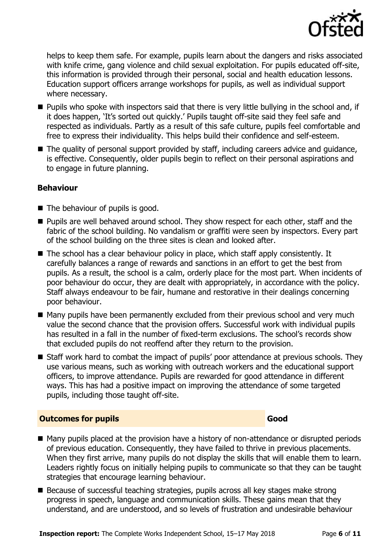

helps to keep them safe. For example, pupils learn about the dangers and risks associated with knife crime, gang violence and child sexual exploitation. For pupils educated off-site, this information is provided through their personal, social and health education lessons. Education support officers arrange workshops for pupils, as well as individual support where necessary.

- **Pupils who spoke with inspectors said that there is very little bullying in the school and, if** it does happen, 'It's sorted out quickly.' Pupils taught off-site said they feel safe and respected as individuals. Partly as a result of this safe culture, pupils feel comfortable and free to express their individuality. This helps build their confidence and self-esteem.
- The quality of personal support provided by staff, including careers advice and quidance, is effective. Consequently, older pupils begin to reflect on their personal aspirations and to engage in future planning.

### **Behaviour**

- $\blacksquare$  The behaviour of pupils is good.
- **Pupils are well behaved around school. They show respect for each other, staff and the** fabric of the school building. No vandalism or graffiti were seen by inspectors. Every part of the school building on the three sites is clean and looked after.
- The school has a clear behaviour policy in place, which staff apply consistently. It carefully balances a range of rewards and sanctions in an effort to get the best from pupils. As a result, the school is a calm, orderly place for the most part. When incidents of poor behaviour do occur, they are dealt with appropriately, in accordance with the policy. Staff always endeavour to be fair, humane and restorative in their dealings concerning poor behaviour.
- Many pupils have been permanently excluded from their previous school and very much value the second chance that the provision offers. Successful work with individual pupils has resulted in a fall in the number of fixed-term exclusions. The school's records show that excluded pupils do not reoffend after they return to the provision.
- Staff work hard to combat the impact of pupils' poor attendance at previous schools. They use various means, such as working with outreach workers and the educational support officers, to improve attendance. Pupils are rewarded for good attendance in different ways. This has had a positive impact on improving the attendance of some targeted pupils, including those taught off-site.

### **Outcomes for pupils Good Good**

- Many pupils placed at the provision have a history of non-attendance or disrupted periods of previous education. Consequently, they have failed to thrive in previous placements. When they first arrive, many pupils do not display the skills that will enable them to learn. Leaders rightly focus on initially helping pupils to communicate so that they can be taught strategies that encourage learning behaviour.
- Because of successful teaching strategies, pupils across all key stages make strong progress in speech, language and communication skills. These gains mean that they understand, and are understood, and so levels of frustration and undesirable behaviour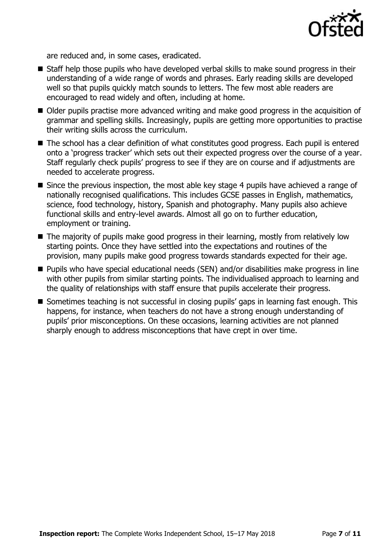

are reduced and, in some cases, eradicated.

- Staff help those pupils who have developed verbal skills to make sound progress in their understanding of a wide range of words and phrases. Early reading skills are developed well so that pupils quickly match sounds to letters. The few most able readers are encouraged to read widely and often, including at home.
- Older pupils practise more advanced writing and make good progress in the acquisition of grammar and spelling skills. Increasingly, pupils are getting more opportunities to practise their writing skills across the curriculum.
- The school has a clear definition of what constitutes good progress. Each pupil is entered onto a 'progress tracker' which sets out their expected progress over the course of a year. Staff regularly check pupils' progress to see if they are on course and if adjustments are needed to accelerate progress.
- Since the previous inspection, the most able key stage 4 pupils have achieved a range of nationally recognised qualifications. This includes GCSE passes in English, mathematics, science, food technology, history, Spanish and photography. Many pupils also achieve functional skills and entry-level awards. Almost all go on to further education, employment or training.
- The majority of pupils make good progress in their learning, mostly from relatively low starting points. Once they have settled into the expectations and routines of the provision, many pupils make good progress towards standards expected for their age.
- Pupils who have special educational needs (SEN) and/or disabilities make progress in line with other pupils from similar starting points. The individualised approach to learning and the quality of relationships with staff ensure that pupils accelerate their progress.
- Sometimes teaching is not successful in closing pupils' gaps in learning fast enough. This happens, for instance, when teachers do not have a strong enough understanding of pupils' prior misconceptions. On these occasions, learning activities are not planned sharply enough to address misconceptions that have crept in over time.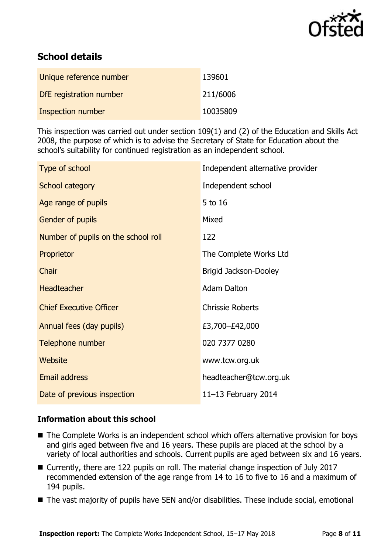

# **School details**

| Unique reference number | 139601   |
|-------------------------|----------|
| DfE registration number | 211/6006 |
| Inspection number       | 10035809 |

This inspection was carried out under section 109(1) and (2) of the Education and Skills Act 2008, the purpose of which is to advise the Secretary of State for Education about the school's suitability for continued registration as an independent school.

| Type of school                      | Independent alternative provider |
|-------------------------------------|----------------------------------|
| School category                     | Independent school               |
| Age range of pupils                 | 5 to 16                          |
| Gender of pupils                    | Mixed                            |
| Number of pupils on the school roll | 122                              |
| Proprietor                          | The Complete Works Ltd           |
| Chair                               | Brigid Jackson-Dooley            |
| <b>Headteacher</b>                  | <b>Adam Dalton</b>               |
| <b>Chief Executive Officer</b>      | <b>Chrissie Roberts</b>          |
| Annual fees (day pupils)            | £3,700-£42,000                   |
| Telephone number                    | 020 7377 0280                    |
| Website                             | www.tcw.org.uk                   |
| Email address                       | headteacher@tcw.org.uk           |
| Date of previous inspection         | 11-13 February 2014              |

### **Information about this school**

- The Complete Works is an independent school which offers alternative provision for boys and girls aged between five and 16 years. These pupils are placed at the school by a variety of local authorities and schools. Current pupils are aged between six and 16 years.
- Currently, there are 122 pupils on roll. The material change inspection of July 2017 recommended extension of the age range from 14 to 16 to five to 16 and a maximum of 194 pupils.
- The vast majority of pupils have SEN and/or disabilities. These include social, emotional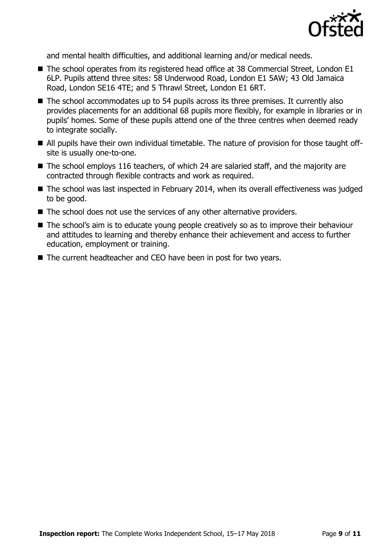

and mental health difficulties, and additional learning and/or medical needs.

- The school operates from its registered head office at 38 Commercial Street, London E1 6LP. Pupils attend three sites: 58 Underwood Road, London E1 5AW; 43 Old Jamaica Road, London SE16 4TE; and 5 Thrawl Street, London E1 6RT.
- The school accommodates up to 54 pupils across its three premises. It currently also provides placements for an additional 68 pupils more flexibly, for example in libraries or in pupils' homes. Some of these pupils attend one of the three centres when deemed ready to integrate socially.
- All pupils have their own individual timetable. The nature of provision for those taught offsite is usually one-to-one.
- The school employs 116 teachers, of which 24 are salaried staff, and the majority are contracted through flexible contracts and work as required.
- The school was last inspected in February 2014, when its overall effectiveness was judged to be good.
- $\blacksquare$  The school does not use the services of any other alternative providers.
- The school's aim is to educate young people creatively so as to improve their behaviour and attitudes to learning and thereby enhance their achievement and access to further education, employment or training.
- The current headteacher and CEO have been in post for two years.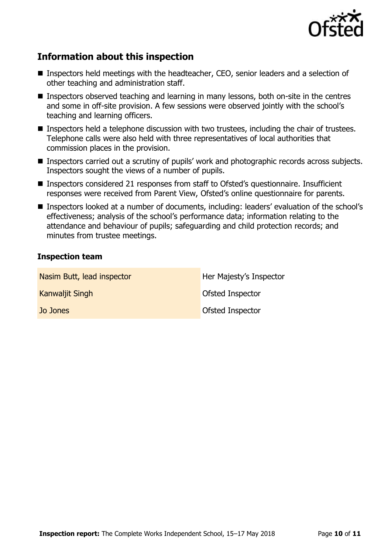

## **Information about this inspection**

- Inspectors held meetings with the headteacher, CEO, senior leaders and a selection of other teaching and administration staff.
- **Inspectors observed teaching and learning in many lessons, both on-site in the centres** and some in off-site provision. A few sessions were observed jointly with the school's teaching and learning officers.
- **Inspectors held a telephone discussion with two trustees, including the chair of trustees.** Telephone calls were also held with three representatives of local authorities that commission places in the provision.
- Inspectors carried out a scrutiny of pupils' work and photographic records across subjects. Inspectors sought the views of a number of pupils.
- Inspectors considered 21 responses from staff to Ofsted's questionnaire. Insufficient responses were received from Parent View, Ofsted's online questionnaire for parents.
- Inspectors looked at a number of documents, including: leaders' evaluation of the school's effectiveness; analysis of the school's performance data; information relating to the attendance and behaviour of pupils; safeguarding and child protection records; and minutes from trustee meetings.

#### **Inspection team**

| Nasim Butt, lead inspector | Her Majesty's Inspector |
|----------------------------|-------------------------|
| Kanwaljit Singh            | Ofsted Inspector        |
| Jo Jones                   | <b>Ofsted Inspector</b> |